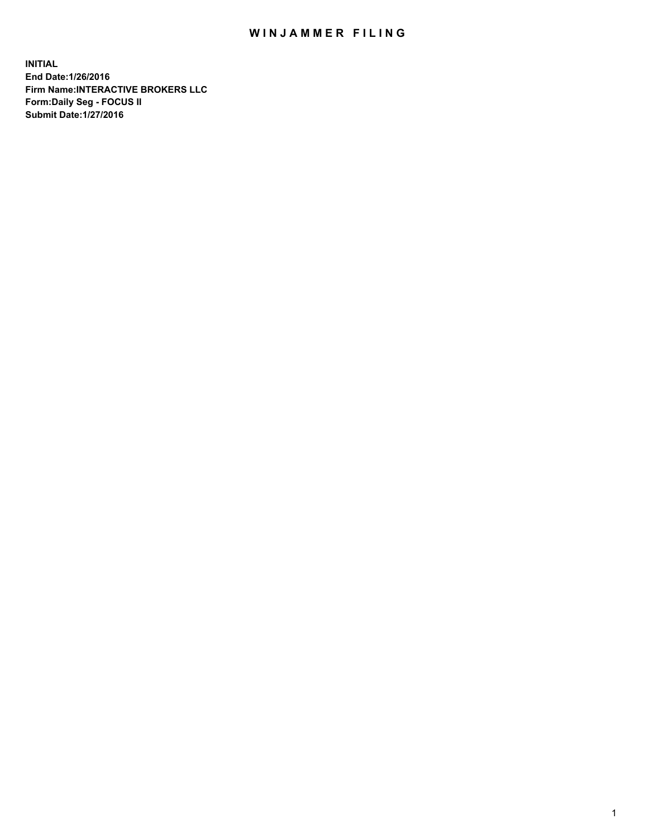## WIN JAMMER FILING

**INITIAL End Date:1/26/2016 Firm Name:INTERACTIVE BROKERS LLC Form:Daily Seg - FOCUS II Submit Date:1/27/2016**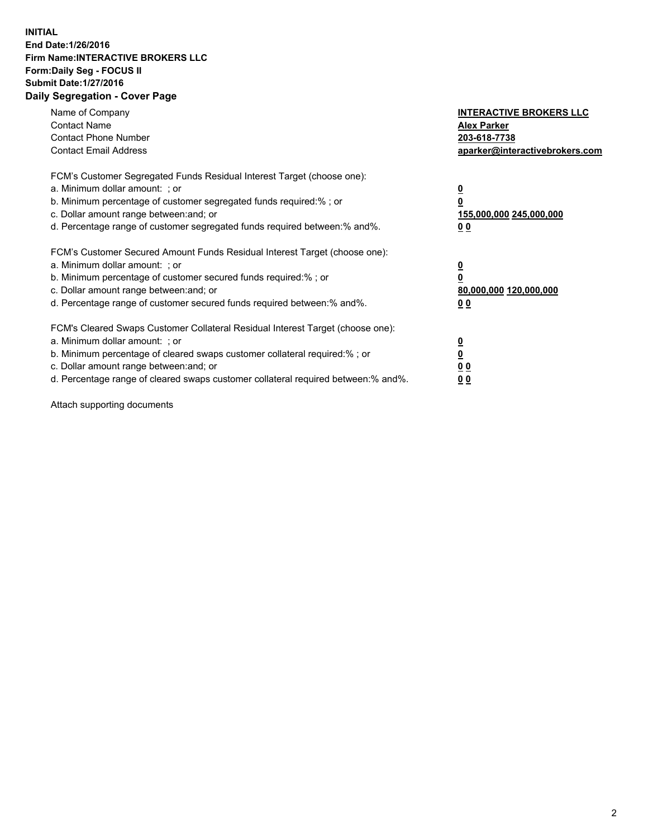## **INITIAL End Date:1/26/2016 Firm Name:INTERACTIVE BROKERS LLC Form:Daily Seg - FOCUS II Submit Date:1/27/2016 Daily Segregation - Cover Page**

| Name of Company<br><b>Contact Name</b><br><b>Contact Phone Number</b><br><b>Contact Email Address</b>                                                                                                                                                                                                                         | <b>INTERACTIVE BROKERS LLC</b><br><b>Alex Parker</b><br>203-618-7738<br>aparker@interactivebrokers.com |
|-------------------------------------------------------------------------------------------------------------------------------------------------------------------------------------------------------------------------------------------------------------------------------------------------------------------------------|--------------------------------------------------------------------------------------------------------|
| FCM's Customer Segregated Funds Residual Interest Target (choose one):<br>a. Minimum dollar amount: ; or<br>b. Minimum percentage of customer segregated funds required:% ; or<br>c. Dollar amount range between: and; or<br>d. Percentage range of customer segregated funds required between:% and%.                        | <u>0</u><br>155,000,000 245,000,000<br>0 <sub>0</sub>                                                  |
| FCM's Customer Secured Amount Funds Residual Interest Target (choose one):<br>a. Minimum dollar amount: ; or<br>b. Minimum percentage of customer secured funds required:%; or<br>c. Dollar amount range between: and; or<br>d. Percentage range of customer secured funds required between: % and %.                         | <u>0</u><br>80,000,000 120,000,000<br><u>00</u>                                                        |
| FCM's Cleared Swaps Customer Collateral Residual Interest Target (choose one):<br>a. Minimum dollar amount: ; or<br>b. Minimum percentage of cleared swaps customer collateral required:%; or<br>c. Dollar amount range between: and; or<br>d. Percentage range of cleared swaps customer collateral required between:% and%. | <u>0</u><br>0 <sub>0</sub><br>0 <sub>0</sub>                                                           |

Attach supporting documents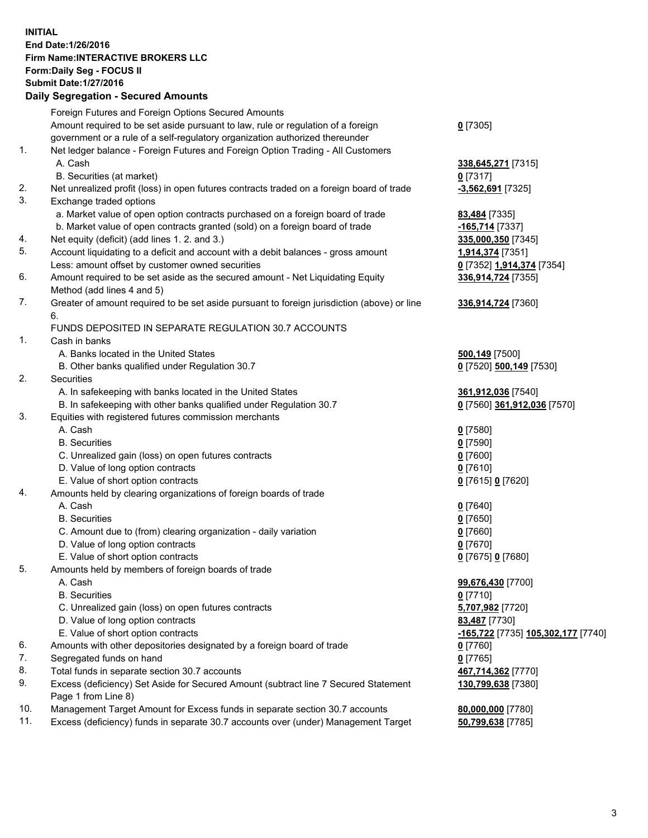## **INITIAL End Date:1/26/2016 Firm Name:INTERACTIVE BROKERS LLC Form:Daily Seg - FOCUS II Submit Date:1/27/2016 Daily Segregation - Secured Amounts**

| Foreign Futures and Foreign Options Secured Amounts                                         |                                                                                                                                                                                                                                                                                                                                                                                                                                                                                                                                                                                                                                                                                                                                                                                                                                                                                                                                                                                                                                                                                                                                       |
|---------------------------------------------------------------------------------------------|---------------------------------------------------------------------------------------------------------------------------------------------------------------------------------------------------------------------------------------------------------------------------------------------------------------------------------------------------------------------------------------------------------------------------------------------------------------------------------------------------------------------------------------------------------------------------------------------------------------------------------------------------------------------------------------------------------------------------------------------------------------------------------------------------------------------------------------------------------------------------------------------------------------------------------------------------------------------------------------------------------------------------------------------------------------------------------------------------------------------------------------|
|                                                                                             | $0$ [7305]                                                                                                                                                                                                                                                                                                                                                                                                                                                                                                                                                                                                                                                                                                                                                                                                                                                                                                                                                                                                                                                                                                                            |
|                                                                                             |                                                                                                                                                                                                                                                                                                                                                                                                                                                                                                                                                                                                                                                                                                                                                                                                                                                                                                                                                                                                                                                                                                                                       |
|                                                                                             |                                                                                                                                                                                                                                                                                                                                                                                                                                                                                                                                                                                                                                                                                                                                                                                                                                                                                                                                                                                                                                                                                                                                       |
| A. Cash                                                                                     | 338,645,271 [7315]                                                                                                                                                                                                                                                                                                                                                                                                                                                                                                                                                                                                                                                                                                                                                                                                                                                                                                                                                                                                                                                                                                                    |
| B. Securities (at market)                                                                   | $0$ [7317]                                                                                                                                                                                                                                                                                                                                                                                                                                                                                                                                                                                                                                                                                                                                                                                                                                                                                                                                                                                                                                                                                                                            |
| Net unrealized profit (loss) in open futures contracts traded on a foreign board of trade   | $-3,562,691$ [7325]                                                                                                                                                                                                                                                                                                                                                                                                                                                                                                                                                                                                                                                                                                                                                                                                                                                                                                                                                                                                                                                                                                                   |
| Exchange traded options                                                                     |                                                                                                                                                                                                                                                                                                                                                                                                                                                                                                                                                                                                                                                                                                                                                                                                                                                                                                                                                                                                                                                                                                                                       |
|                                                                                             | 83,484 [7335]                                                                                                                                                                                                                                                                                                                                                                                                                                                                                                                                                                                                                                                                                                                                                                                                                                                                                                                                                                                                                                                                                                                         |
| b. Market value of open contracts granted (sold) on a foreign board of trade                | $-165,714$ [7337]                                                                                                                                                                                                                                                                                                                                                                                                                                                                                                                                                                                                                                                                                                                                                                                                                                                                                                                                                                                                                                                                                                                     |
| Net equity (deficit) (add lines 1.2. and 3.)                                                | 335,000,350 [7345]                                                                                                                                                                                                                                                                                                                                                                                                                                                                                                                                                                                                                                                                                                                                                                                                                                                                                                                                                                                                                                                                                                                    |
| Account liquidating to a deficit and account with a debit balances - gross amount           | 1,914,374 [7351]                                                                                                                                                                                                                                                                                                                                                                                                                                                                                                                                                                                                                                                                                                                                                                                                                                                                                                                                                                                                                                                                                                                      |
| Less: amount offset by customer owned securities                                            | 0 [7352] 1,914,374 [7354]                                                                                                                                                                                                                                                                                                                                                                                                                                                                                                                                                                                                                                                                                                                                                                                                                                                                                                                                                                                                                                                                                                             |
| Amount required to be set aside as the secured amount - Net Liquidating Equity              | 336,914,724 [7355]                                                                                                                                                                                                                                                                                                                                                                                                                                                                                                                                                                                                                                                                                                                                                                                                                                                                                                                                                                                                                                                                                                                    |
| Method (add lines 4 and 5)                                                                  |                                                                                                                                                                                                                                                                                                                                                                                                                                                                                                                                                                                                                                                                                                                                                                                                                                                                                                                                                                                                                                                                                                                                       |
| Greater of amount required to be set aside pursuant to foreign jurisdiction (above) or line | 336,914,724 [7360]                                                                                                                                                                                                                                                                                                                                                                                                                                                                                                                                                                                                                                                                                                                                                                                                                                                                                                                                                                                                                                                                                                                    |
| 6.                                                                                          |                                                                                                                                                                                                                                                                                                                                                                                                                                                                                                                                                                                                                                                                                                                                                                                                                                                                                                                                                                                                                                                                                                                                       |
| FUNDS DEPOSITED IN SEPARATE REGULATION 30.7 ACCOUNTS                                        |                                                                                                                                                                                                                                                                                                                                                                                                                                                                                                                                                                                                                                                                                                                                                                                                                                                                                                                                                                                                                                                                                                                                       |
| Cash in banks                                                                               |                                                                                                                                                                                                                                                                                                                                                                                                                                                                                                                                                                                                                                                                                                                                                                                                                                                                                                                                                                                                                                                                                                                                       |
| A. Banks located in the United States                                                       | 500,149 [7500]                                                                                                                                                                                                                                                                                                                                                                                                                                                                                                                                                                                                                                                                                                                                                                                                                                                                                                                                                                                                                                                                                                                        |
| B. Other banks qualified under Regulation 30.7                                              | 0 [7520] 500,149 [7530]                                                                                                                                                                                                                                                                                                                                                                                                                                                                                                                                                                                                                                                                                                                                                                                                                                                                                                                                                                                                                                                                                                               |
| Securities                                                                                  |                                                                                                                                                                                                                                                                                                                                                                                                                                                                                                                                                                                                                                                                                                                                                                                                                                                                                                                                                                                                                                                                                                                                       |
| A. In safekeeping with banks located in the United States                                   | 361,912,036 [7540]                                                                                                                                                                                                                                                                                                                                                                                                                                                                                                                                                                                                                                                                                                                                                                                                                                                                                                                                                                                                                                                                                                                    |
| B. In safekeeping with other banks qualified under Regulation 30.7                          | 0 [7560] 361,912,036 [7570]                                                                                                                                                                                                                                                                                                                                                                                                                                                                                                                                                                                                                                                                                                                                                                                                                                                                                                                                                                                                                                                                                                           |
| Equities with registered futures commission merchants                                       |                                                                                                                                                                                                                                                                                                                                                                                                                                                                                                                                                                                                                                                                                                                                                                                                                                                                                                                                                                                                                                                                                                                                       |
| A. Cash                                                                                     | $0$ [7580]                                                                                                                                                                                                                                                                                                                                                                                                                                                                                                                                                                                                                                                                                                                                                                                                                                                                                                                                                                                                                                                                                                                            |
| <b>B.</b> Securities                                                                        | $0$ [7590]                                                                                                                                                                                                                                                                                                                                                                                                                                                                                                                                                                                                                                                                                                                                                                                                                                                                                                                                                                                                                                                                                                                            |
| C. Unrealized gain (loss) on open futures contracts                                         | $0$ [7600]                                                                                                                                                                                                                                                                                                                                                                                                                                                                                                                                                                                                                                                                                                                                                                                                                                                                                                                                                                                                                                                                                                                            |
|                                                                                             | $0$ [7610]                                                                                                                                                                                                                                                                                                                                                                                                                                                                                                                                                                                                                                                                                                                                                                                                                                                                                                                                                                                                                                                                                                                            |
| E. Value of short option contracts                                                          | 0 [7615] 0 [7620]                                                                                                                                                                                                                                                                                                                                                                                                                                                                                                                                                                                                                                                                                                                                                                                                                                                                                                                                                                                                                                                                                                                     |
| Amounts held by clearing organizations of foreign boards of trade                           |                                                                                                                                                                                                                                                                                                                                                                                                                                                                                                                                                                                                                                                                                                                                                                                                                                                                                                                                                                                                                                                                                                                                       |
|                                                                                             | $0$ [7640]                                                                                                                                                                                                                                                                                                                                                                                                                                                                                                                                                                                                                                                                                                                                                                                                                                                                                                                                                                                                                                                                                                                            |
| <b>B.</b> Securities                                                                        | $0$ [7650]                                                                                                                                                                                                                                                                                                                                                                                                                                                                                                                                                                                                                                                                                                                                                                                                                                                                                                                                                                                                                                                                                                                            |
| C. Amount due to (from) clearing organization - daily variation                             | $0$ [7660]                                                                                                                                                                                                                                                                                                                                                                                                                                                                                                                                                                                                                                                                                                                                                                                                                                                                                                                                                                                                                                                                                                                            |
|                                                                                             | $0$ [7670]                                                                                                                                                                                                                                                                                                                                                                                                                                                                                                                                                                                                                                                                                                                                                                                                                                                                                                                                                                                                                                                                                                                            |
|                                                                                             | 0 [7675] 0 [7680]                                                                                                                                                                                                                                                                                                                                                                                                                                                                                                                                                                                                                                                                                                                                                                                                                                                                                                                                                                                                                                                                                                                     |
|                                                                                             |                                                                                                                                                                                                                                                                                                                                                                                                                                                                                                                                                                                                                                                                                                                                                                                                                                                                                                                                                                                                                                                                                                                                       |
|                                                                                             | 99,676,430 [7700]                                                                                                                                                                                                                                                                                                                                                                                                                                                                                                                                                                                                                                                                                                                                                                                                                                                                                                                                                                                                                                                                                                                     |
|                                                                                             | $0$ [7710]                                                                                                                                                                                                                                                                                                                                                                                                                                                                                                                                                                                                                                                                                                                                                                                                                                                                                                                                                                                                                                                                                                                            |
|                                                                                             | 5,707,982 [7720]                                                                                                                                                                                                                                                                                                                                                                                                                                                                                                                                                                                                                                                                                                                                                                                                                                                                                                                                                                                                                                                                                                                      |
|                                                                                             | 83,487 [7730]                                                                                                                                                                                                                                                                                                                                                                                                                                                                                                                                                                                                                                                                                                                                                                                                                                                                                                                                                                                                                                                                                                                         |
|                                                                                             | -165,722 [7735] 105,302,177 [7740]                                                                                                                                                                                                                                                                                                                                                                                                                                                                                                                                                                                                                                                                                                                                                                                                                                                                                                                                                                                                                                                                                                    |
|                                                                                             | $0$ [7760]                                                                                                                                                                                                                                                                                                                                                                                                                                                                                                                                                                                                                                                                                                                                                                                                                                                                                                                                                                                                                                                                                                                            |
|                                                                                             | $0$ [7765]                                                                                                                                                                                                                                                                                                                                                                                                                                                                                                                                                                                                                                                                                                                                                                                                                                                                                                                                                                                                                                                                                                                            |
|                                                                                             | 467,714,362 [7770]                                                                                                                                                                                                                                                                                                                                                                                                                                                                                                                                                                                                                                                                                                                                                                                                                                                                                                                                                                                                                                                                                                                    |
|                                                                                             | 130,799,638 [7380]                                                                                                                                                                                                                                                                                                                                                                                                                                                                                                                                                                                                                                                                                                                                                                                                                                                                                                                                                                                                                                                                                                                    |
|                                                                                             |                                                                                                                                                                                                                                                                                                                                                                                                                                                                                                                                                                                                                                                                                                                                                                                                                                                                                                                                                                                                                                                                                                                                       |
|                                                                                             | 80,000,000 [7780]                                                                                                                                                                                                                                                                                                                                                                                                                                                                                                                                                                                                                                                                                                                                                                                                                                                                                                                                                                                                                                                                                                                     |
|                                                                                             | 50,799,638 [7785]                                                                                                                                                                                                                                                                                                                                                                                                                                                                                                                                                                                                                                                                                                                                                                                                                                                                                                                                                                                                                                                                                                                     |
|                                                                                             | Amount required to be set aside pursuant to law, rule or regulation of a foreign<br>government or a rule of a self-regulatory organization authorized thereunder<br>Net ledger balance - Foreign Futures and Foreign Option Trading - All Customers<br>a. Market value of open option contracts purchased on a foreign board of trade<br>D. Value of long option contracts<br>A. Cash<br>D. Value of long option contracts<br>E. Value of short option contracts<br>Amounts held by members of foreign boards of trade<br>A. Cash<br><b>B.</b> Securities<br>C. Unrealized gain (loss) on open futures contracts<br>D. Value of long option contracts<br>E. Value of short option contracts<br>Amounts with other depositories designated by a foreign board of trade<br>Segregated funds on hand<br>Total funds in separate section 30.7 accounts<br>Excess (deficiency) Set Aside for Secured Amount (subtract line 7 Secured Statement<br>Page 1 from Line 8)<br>Management Target Amount for Excess funds in separate section 30.7 accounts<br>Excess (deficiency) funds in separate 30.7 accounts over (under) Management Target |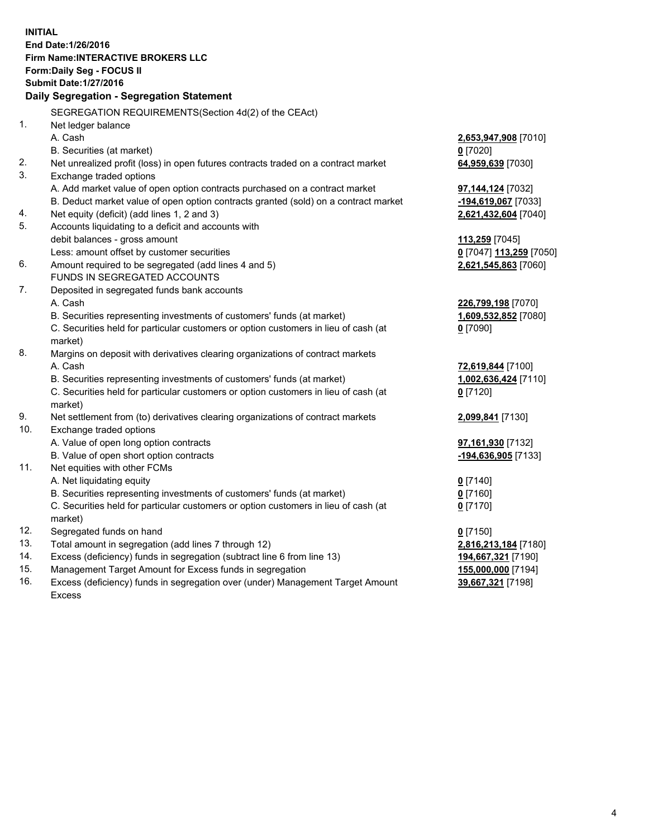**INITIAL End Date:1/26/2016 Firm Name:INTERACTIVE BROKERS LLC Form:Daily Seg - FOCUS II Submit Date:1/27/2016 Daily Segregation - Segregation Statement** SEGREGATION REQUIREMENTS(Section 4d(2) of the CEAct) 1. Net ledger balance A. Cash **2,653,947,908** [7010] B. Securities (at market) **0** [7020] 2. Net unrealized profit (loss) in open futures contracts traded on a contract market **64,959,639** [7030] 3. Exchange traded options A. Add market value of open option contracts purchased on a contract market **97,144,124** [7032] B. Deduct market value of open option contracts granted (sold) on a contract market **-194,619,067** [7033] 4. Net equity (deficit) (add lines 1, 2 and 3) **2,621,432,604** [7040] 5. Accounts liquidating to a deficit and accounts with debit balances - gross amount **113,259** [7045] Less: amount offset by customer securities **0** [7047] **113,259** [7050] 6. Amount required to be segregated (add lines 4 and 5) **2,621,545,863** [7060] FUNDS IN SEGREGATED ACCOUNTS 7. Deposited in segregated funds bank accounts A. Cash **226,799,198** [7070] B. Securities representing investments of customers' funds (at market) **1,609,532,852** [7080] C. Securities held for particular customers or option customers in lieu of cash (at market) **0** [7090] 8. Margins on deposit with derivatives clearing organizations of contract markets A. Cash **72,619,844** [7100] B. Securities representing investments of customers' funds (at market) **1,002,636,424** [7110] C. Securities held for particular customers or option customers in lieu of cash (at market) **0** [7120] 9. Net settlement from (to) derivatives clearing organizations of contract markets **2,099,841** [7130] 10. Exchange traded options A. Value of open long option contracts **97,161,930** [7132] B. Value of open short option contracts **-194,636,905** [7133] 11. Net equities with other FCMs A. Net liquidating equity **0** [7140] B. Securities representing investments of customers' funds (at market) **0** [7160] C. Securities held for particular customers or option customers in lieu of cash (at market) **0** [7170] 12. Segregated funds on hand **0** [7150] 13. Total amount in segregation (add lines 7 through 12) **2,816,213,184** [7180] 14. Excess (deficiency) funds in segregation (subtract line 6 from line 13) **194,667,321** [7190] 15. Management Target Amount for Excess funds in segregation **155,000,000** [7194]

16. Excess (deficiency) funds in segregation over (under) Management Target Amount Excess

**39,667,321** [7198]